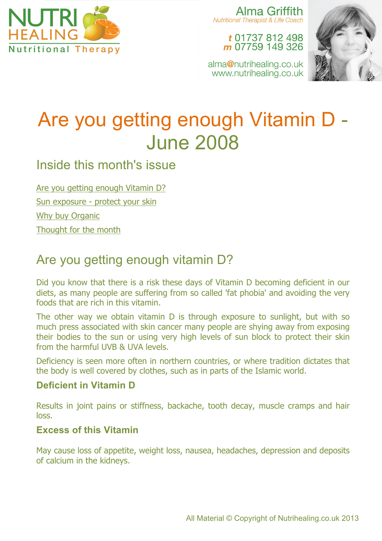

Alma Griffith **Nutritional Therapist & Life Coach** 

> t 01737 812 498 m 07759 149 326

alma@nutrihealing.co.uk www.nutrihealing.co.uk



# Are you getting enough Vitamin D - June 2008

### Inside this month's issue

Are you getting enough Vitamin D? Sun exposure - protect your skin Why buy Organic Thought for the month

# Are you getting enough vitamin D?

Did you know that there is a risk these days of Vitamin D becoming deficient in our diets, as many people are suffering from so called 'fat phobia' and avoiding the very foods that are rich in this vitamin.

The other way we obtain vitamin D is through exposure to sunlight, but with so much press associated with skin cancer many people are shying away from exposing their bodies to the sun or using very high levels of sun block to protect their skin from the harmful UVB & UVA levels.

Deficiency is seen more often in northern countries, or where tradition dictates that the body is well covered by clothes, such as in parts of the Islamic world.

#### **Deficient in Vitamin D**

Results in joint pains or stiffness, backache, tooth decay, muscle cramps and hair loss.

#### **Excess of this Vitamin**

May cause loss of appetite, weight loss, nausea, headaches, depression and deposits of calcium in the kidneys.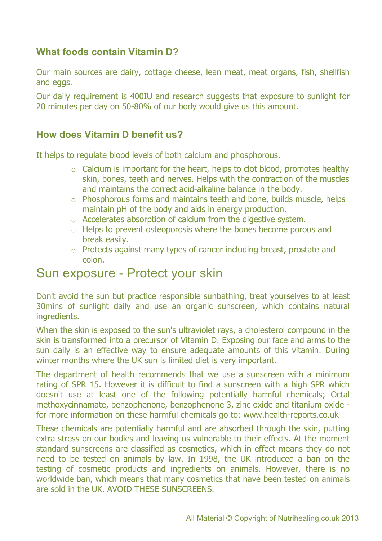#### **What foods contain Vitamin D?**

Our main sources are dairy, cottage cheese, lean meat, meat organs, fish, shellfish and eggs.

Our daily requirement is 400IU and research suggests that exposure to sunlight for 20 minutes per day on 50-80% of our body would give us this amount.

#### **How does Vitamin D benefit us?**

It helps to regulate blood levels of both calcium and phosphorous.

- $\circ$  Calcium is important for the heart, helps to clot blood, promotes healthy skin, bones, teeth and nerves. Helps with the contraction of the muscles and maintains the correct acid-alkaline balance in the body.
- o Phosphorous forms and maintains teeth and bone, builds muscle, helps maintain pH of the body and aids in energy production.
- o Accelerates absorption of calcium from the digestive system.
- o Helps to prevent osteoporosis where the bones become porous and break easily.
- o Protects against many types of cancer including breast, prostate and colon.

### Sun exposure - Protect your skin

Don't avoid the sun but practice responsible sunbathing, treat yourselves to at least 30mins of sunlight daily and use an organic sunscreen, which contains natural ingredients.

When the skin is exposed to the sun's ultraviolet rays, a cholesterol compound in the skin is transformed into a precursor of Vitamin D. Exposing our face and arms to the sun daily is an effective way to ensure adequate amounts of this vitamin. During winter months where the UK sun is limited diet is very important.

The department of health recommends that we use a sunscreen with a minimum rating of SPR 15. However it is difficult to find a sunscreen with a high SPR which doesn't use at least one of the following potentially harmful chemicals; Octal methoxycinnamate, benzophenone, benzophenone 3, zinc oxide and titanium oxide for more information on these harmful chemicals go to: www.health-reports.co.uk

These chemicals are potentially harmful and are absorbed through the skin, putting extra stress on our bodies and leaving us vulnerable to their effects. At the moment standard sunscreens are classified as cosmetics, which in effect means they do not need to be tested on animals by law. In 1998, the UK introduced a ban on the testing of cosmetic products and ingredients on animals. However, there is no worldwide ban, which means that many cosmetics that have been tested on animals are sold in the UK. AVOID THESE SUNSCREENS.